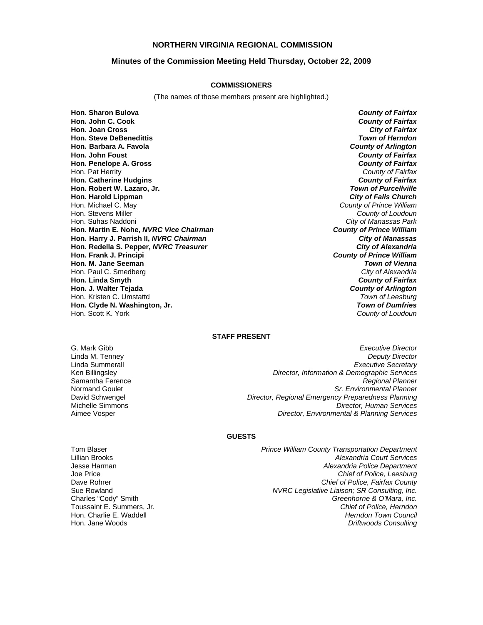## **NORTHERN VIRGINIA REGIONAL COMMISSION**

### **Minutes of the Commission Meeting Held Thursday, October 22, 2009**

#### **COMMISSIONERS**

(The names of those members present are highlighted.)

**Hon. Sharon Bulova** *County of Fairfax* **Hon. Joan Cross Hon. Steve DeBenedittis** *Town of Herndon* **Hon. Barbara A. Favola** *County of Arlington* **Hon. John Foust** *County of Fairfax* **Hon. Penelope A. Gross** *County of Fairfax* Hon. Pat Herrity *County of Fairfax* **Hon. Catherine Hudgins** *County of Fairfax* **Hon. Robert W. Lazaro, Jr.** *Town of Purcellville* **Hon. Harold Lippman**<br>Hon. Michael C. May Hon. Stevens Miller Hon. Suhas Naddoni *City of Manassas Park* **Hon. Martin E. Nohe,** *NVRC Vice Chairman County of Prince William* **Hon. Harry J. Parrish II,** *NVRC Chairman City of Manassas* **Hon. Redella S. Pepper,** *NVRC Treasurer* **Hon. Frank J. Principi** *County of Prince William* **Hon. M. Jane Seeman** *Town of Vienna* Hon. Paul C. Smedberg *City of Alexandria* **Hon. Linda Smyth** *County of Fairfax* **Hon. J. Walter Tejada** *County of Arlington* Hon. Kristen C. Umstattd *Town of Leesburg* **Hon. Clyde N. Washington, Jr.** Hon. Scott K. York

**County of Fairfax**<br>City of Fairfax **County of Prince William**<br>County of Loudoun **County of Loudoun** 

# **STAFF PRESENT**

G. Mark Gibb *Executive Director* Linda M. Tenney *Deputy Director* Linda Summerall *Executive Secretary* Ken Billingsley *Director, Information & Demographic Services* Samantha Ference *Regional Planner* Normand Goulet *Sr. Environmental Planner* David Schwengel *Director, Regional Emergency Preparedness Planning* Michelle Simmons *Director, Human Services* Aimee Vosper *Director, Environmental & Planning Services*

### **GUESTS**

Toussaint E. Summers, Jr.

Tom Blaser *Prince William County Transportation Department* Lillian Brooks *Alexandria Court Services* Jesse Harman *Alexandria Police Department* Joe Price *Chief of Police, Leesburg* Dave Rohrer *Chief of Police, Fairfax County* Sue Rowland *NVRC Legislative Liaison; SR Consulting, Inc.* Greenhorne & O'Mara, Inc.<br>Chief of Police, Herndon Hon. Charlie E. Waddell *Herndon Town Council* Hon. Jane Woods *Driftwoods Consulting*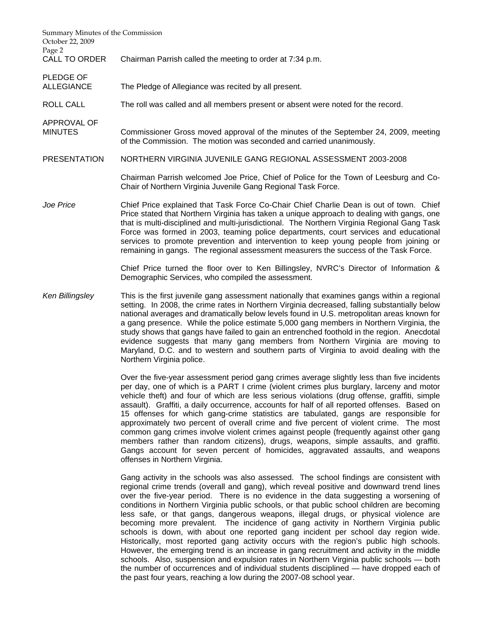| Summary Minutes of the Commission<br>October 22, 2009<br>Page 2 |                                                                                                                                                                                                                                                                                                                                                                                                                                                                                                                                                                                                                                                                                             |
|-----------------------------------------------------------------|---------------------------------------------------------------------------------------------------------------------------------------------------------------------------------------------------------------------------------------------------------------------------------------------------------------------------------------------------------------------------------------------------------------------------------------------------------------------------------------------------------------------------------------------------------------------------------------------------------------------------------------------------------------------------------------------|
| CALL TO ORDER                                                   | Chairman Parrish called the meeting to order at 7:34 p.m.                                                                                                                                                                                                                                                                                                                                                                                                                                                                                                                                                                                                                                   |
| PLEDGE OF<br><b>ALLEGIANCE</b>                                  | The Pledge of Allegiance was recited by all present.                                                                                                                                                                                                                                                                                                                                                                                                                                                                                                                                                                                                                                        |
| ROLL CALL                                                       | The roll was called and all members present or absent were noted for the record.                                                                                                                                                                                                                                                                                                                                                                                                                                                                                                                                                                                                            |
| APPROVAL OF<br><b>MINUTES</b>                                   | Commissioner Gross moved approval of the minutes of the September 24, 2009, meeting<br>of the Commission. The motion was seconded and carried unanimously.                                                                                                                                                                                                                                                                                                                                                                                                                                                                                                                                  |
| <b>PRESENTATION</b>                                             | NORTHERN VIRGINIA JUVENILE GANG REGIONAL ASSESSMENT 2003-2008                                                                                                                                                                                                                                                                                                                                                                                                                                                                                                                                                                                                                               |
|                                                                 | Chairman Parrish welcomed Joe Price, Chief of Police for the Town of Leesburg and Co-<br>Chair of Northern Virginia Juvenile Gang Regional Task Force.                                                                                                                                                                                                                                                                                                                                                                                                                                                                                                                                      |
| Joe Price                                                       | Chief Price explained that Task Force Co-Chair Chief Charlie Dean is out of town. Chief<br>Price stated that Northern Virginia has taken a unique approach to dealing with gangs, one<br>that is multi-disciplined and multi-jurisdictional. The Northern Virginia Regional Gang Task<br>Force was formed in 2003, teaming police departments, court services and educational<br>services to promote prevention and intervention to keep young people from joining or<br>remaining in gangs. The regional assessment measurers the success of the Task Force.                                                                                                                               |
|                                                                 | Chief Price turned the floor over to Ken Billingsley, NVRC's Director of Information &<br>Demographic Services, who compiled the assessment.                                                                                                                                                                                                                                                                                                                                                                                                                                                                                                                                                |
| <b>Ken Billingsley</b>                                          | This is the first juvenile gang assessment nationally that examines gangs within a regional<br>setting. In 2008, the crime rates in Northern Virginia decreased, falling substantially below<br>national averages and dramatically below levels found in U.S. metropolitan areas known for<br>a gang presence. While the police estimate 5,000 gang members in Northern Virginia, the<br>study shows that gangs have failed to gain an entrenched foothold in the region. Anecdotal<br>evidence suggests that many gang members from Northern Virginia are moving to<br>Maryland, D.C. and to western and southern parts of Virginia to avoid dealing with the<br>Northern Virginia police. |
|                                                                 | Over the five-year assessment period gang crimes average slightly less than five incidents                                                                                                                                                                                                                                                                                                                                                                                                                                                                                                                                                                                                  |

 Over the five-year assessment period gang crimes average slightly less than five incidents per day, one of which is a PART I crime (violent crimes plus burglary, larceny and motor vehicle theft) and four of which are less serious violations (drug offense, graffiti, simple assault). Graffiti, a daily occurrence, accounts for half of all reported offenses. Based on 15 offenses for which gang-crime statistics are tabulated, gangs are responsible for approximately two percent of overall crime and five percent of violent crime. The most common gang crimes involve violent crimes against people (frequently against other gang members rather than random citizens), drugs, weapons, simple assaults, and graffiti. Gangs account for seven percent of homicides, aggravated assaults, and weapons offenses in Northern Virginia.

 Gang activity in the schools was also assessed. The school findings are consistent with regional crime trends (overall and gang), which reveal positive and downward trend lines over the five-year period. There is no evidence in the data suggesting a worsening of conditions in Northern Virginia public schools, or that public school children are becoming less safe, or that gangs, dangerous weapons, illegal drugs, or physical violence are becoming more prevalent. The incidence of gang activity in Northern Virginia public schools is down, with about one reported gang incident per school day region wide. Historically, most reported gang activity occurs with the region's public high schools. However, the emerging trend is an increase in gang recruitment and activity in the middle schools. Also, suspension and expulsion rates in Northern Virginia public schools — both the number of occurrences and of individual students disciplined — have dropped each of the past four years, reaching a low during the 2007-08 school year.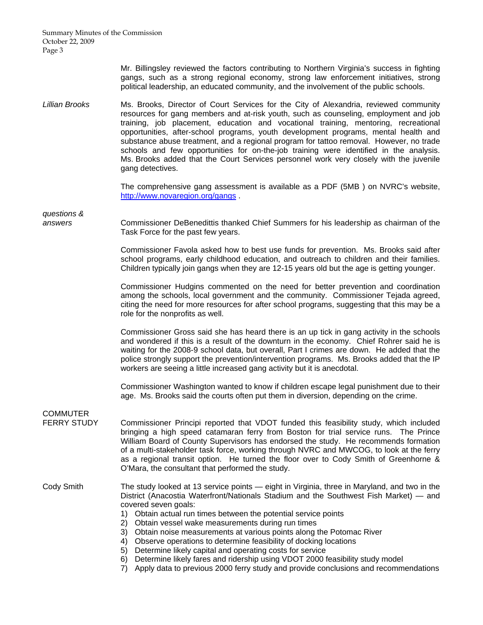Mr. Billingsley reviewed the factors contributing to Northern Virginia's success in fighting gangs, such as a strong regional economy, strong law enforcement initiatives, strong political leadership, an educated community, and the involvement of the public schools.

*Lillian Brooks* Ms. Brooks, Director of Court Services for the City of Alexandria, reviewed community resources for gang members and at-risk youth, such as counseling, employment and job training, job placement, education and vocational training, mentoring, recreational opportunities, after-school programs, youth development programs, mental health and substance abuse treatment, and a regional program for tattoo removal. However, no trade schools and few opportunities for on-the-job training were identified in the analysis. Ms. Brooks added that the Court Services personnel work very closely with the juvenile gang detectives.

> The comprehensive gang assessment is available as a PDF (5MB ) on NVRC's website, <http://www.novaregion.org/gangs> .

*questions &* 

*answers* Commissioner DeBenedittis thanked Chief Summers for his leadership as chairman of the Task Force for the past few years.

> Commissioner Favola asked how to best use funds for prevention. Ms. Brooks said after school programs, early childhood education, and outreach to children and their families. Children typically join gangs when they are 12-15 years old but the age is getting younger.

> Commissioner Hudgins commented on the need for better prevention and coordination among the schools, local government and the community. Commissioner Tejada agreed, citing the need for more resources for after school programs, suggesting that this may be a role for the nonprofits as well.

> Commissioner Gross said she has heard there is an up tick in gang activity in the schools and wondered if this is a result of the downturn in the economy. Chief Rohrer said he is waiting for the 2008-9 school data, but overall, Part I crimes are down. He added that the police strongly support the prevention/intervention programs. Ms. Brooks added that the IP workers are seeing a little increased gang activity but it is anecdotal.

> Commissioner Washington wanted to know if children escape legal punishment due to their age. Ms. Brooks said the courts often put them in diversion, depending on the crime.

**COMMUTER** 

- FERRY STUDY Commissioner Principi reported that VDOT funded this feasibility study, which included bringing a high speed catamaran ferry from Boston for trial service runs. The Prince William Board of County Supervisors has endorsed the study. He recommends formation of a multi-stakeholder task force, working through NVRC and MWCOG, to look at the ferry as a regional transit option. He turned the floor over to Cody Smith of Greenhorne & O'Mara, the consultant that performed the study.
- Cody Smith The study looked at 13 service points eight in Virginia, three in Maryland, and two in the District (Anacostia Waterfront/Nationals Stadium and the Southwest Fish Market) — and covered seven goals:
	- 1) Obtain actual run times between the potential service points
	- 2) Obtain vessel wake measurements during run times
	- 3) Obtain noise measurements at various points along the Potomac River
	- 4) Observe operations to determine feasibility of docking locations
	- 5) Determine likely capital and operating costs for service
	- 6) Determine likely fares and ridership using VDOT 2000 feasibility study model
	- 7) Apply data to previous 2000 ferry study and provide conclusions and recommendations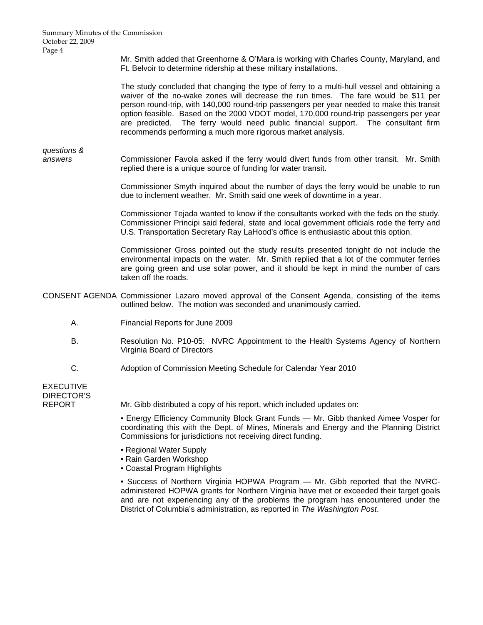Summary Minutes of the Commission October 22, 2009 Page 4

> Mr. Smith added that Greenhorne & O'Mara is working with Charles County, Maryland, and Ft. Belvoir to determine ridership at these military installations.

> The study concluded that changing the type of ferry to a multi-hull vessel and obtaining a waiver of the no-wake zones will decrease the run times. The fare would be \$11 per person round-trip, with 140,000 round-trip passengers per year needed to make this transit option feasible. Based on the 2000 VDOT model, 170,000 round-trip passengers per year are predicted. The ferry would need public financial support. The consultant firm recommends performing a much more rigorous market analysis.

# *questions &*

*answers* Commissioner Favola asked if the ferry would divert funds from other transit. Mr. Smith replied there is a unique source of funding for water transit.

> Commissioner Smyth inquired about the number of days the ferry would be unable to run due to inclement weather. Mr. Smith said one week of downtime in a year.

> Commissioner Tejada wanted to know if the consultants worked with the feds on the study. Commissioner Principi said federal, state and local government officials rode the ferry and U.S. Transportation Secretary Ray LaHood's office is enthusiastic about this option.

> Commissioner Gross pointed out the study results presented tonight do not include the environmental impacts on the water. Mr. Smith replied that a lot of the commuter ferries are going green and use solar power, and it should be kept in mind the number of cars taken off the roads.

CONSENT AGENDA Commissioner Lazaro moved approval of the Consent Agenda, consisting of the items outlined below. The motion was seconded and unanimously carried.

- A. Financial Reports for June 2009
- B. Resolution No. P10-05: NVRC Appointment to the Health Systems Agency of Northern Virginia Board of Directors
- C. Adoption of Commission Meeting Schedule for Calendar Year 2010

EXECUTIVE DIRECTOR'S

REPORT Mr. Gibb distributed a copy of his report, which included updates on:

• Energy Efficiency Community Block Grant Funds — Mr. Gibb thanked Aimee Vosper for coordinating this with the Dept. of Mines, Minerals and Energy and the Planning District Commissions for jurisdictions not receiving direct funding.

- Regional Water Supply
- Rain Garden Workshop
- Coastal Program Highlights

• Success of Northern Virginia HOPWA Program — Mr. Gibb reported that the NVRCadministered HOPWA grants for Northern Virginia have met or exceeded their target goals and are not experiencing any of the problems the program has encountered under the District of Columbia's administration, as reported in *The Washington Post*.